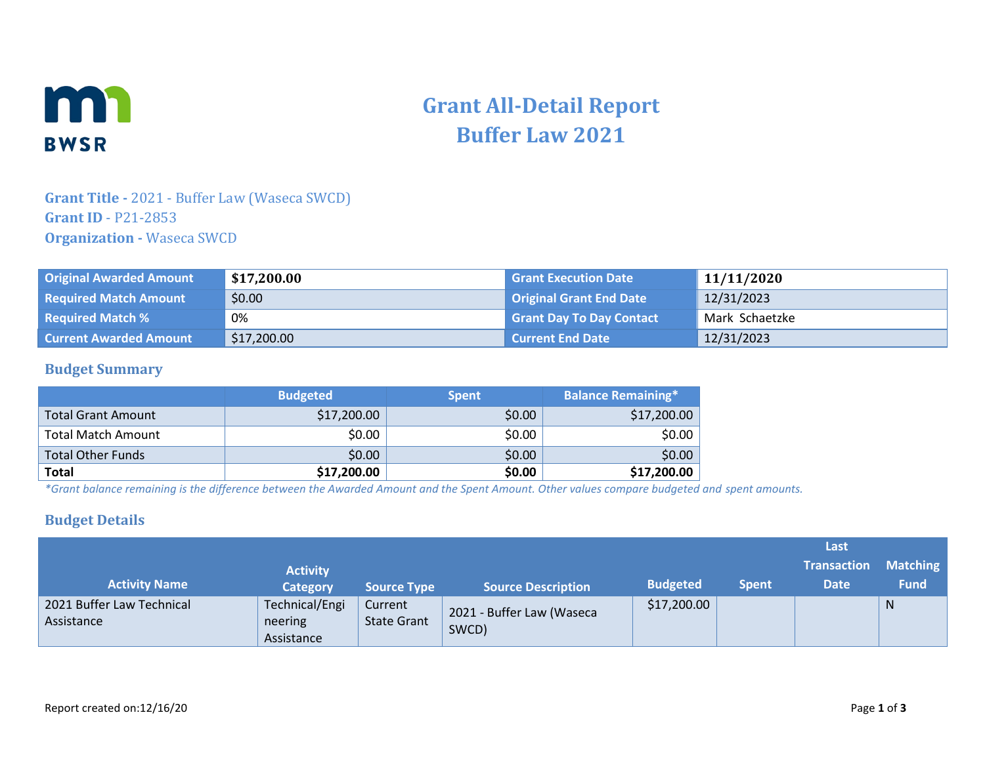

# **Grant All-Detail Report Buffer Law 2021**

## **Grant Title -** 2021 - Buffer Law (Waseca SWCD) **Grant ID** - P21-2853 **Organization -** Waseca SWCD

| <b>Original Awarded Amount</b> | \$17,200.00 | <b>Grant Execution Date</b>     | 11/11/2020     |
|--------------------------------|-------------|---------------------------------|----------------|
| <b>Required Match Amount</b>   | \$0.00      | <b>Original Grant End Date</b>  | 12/31/2023     |
| <b>Required Match %</b>        | 0%          | <b>Grant Day To Day Contact</b> | Mark Schaetzke |
| <b>Current Awarded Amount</b>  | \$17,200.00 | Current End Date                | 12/31/2023     |

#### **Budget Summary**

|                          | <b>Budgeted</b> | <b>Spent</b> | <b>Balance Remaining*</b> |
|--------------------------|-----------------|--------------|---------------------------|
| Total Grant Amount       | \$17,200.00     | \$0.00       | \$17,200.00               |
| Total Match Amount       | \$0.00          | \$0.00       | \$0.00                    |
| <b>Total Other Funds</b> | \$0.00          | \$0.00       | \$0.00                    |
| <b>Total</b>             | \$17,200.00     | \$0.00       | \$17,200.00               |

*\*Grant balance remaining is the difference between the Awarded Amount and the Spent Amount. Other values compare budgeted and spent amounts.*

#### **Budget Details**

|                                         |                                         |                               |                                    |                 |              | Last               |                 |
|-----------------------------------------|-----------------------------------------|-------------------------------|------------------------------------|-----------------|--------------|--------------------|-----------------|
|                                         | <b>Activity</b>                         |                               |                                    |                 |              | <b>Transaction</b> | <b>Matching</b> |
| <b>Activity Name</b>                    | <b>Category</b>                         | <b>Source Type</b>            | <b>Source Description</b>          | <b>Budgeted</b> | <b>Spent</b> | <b>Date</b>        | <b>Fund</b>     |
| 2021 Buffer Law Technical<br>Assistance | Technical/Engi<br>neering<br>Assistance | Current<br><b>State Grant</b> | 2021 - Buffer Law (Waseca<br>SWCD) | \$17,200.00     |              |                    | N               |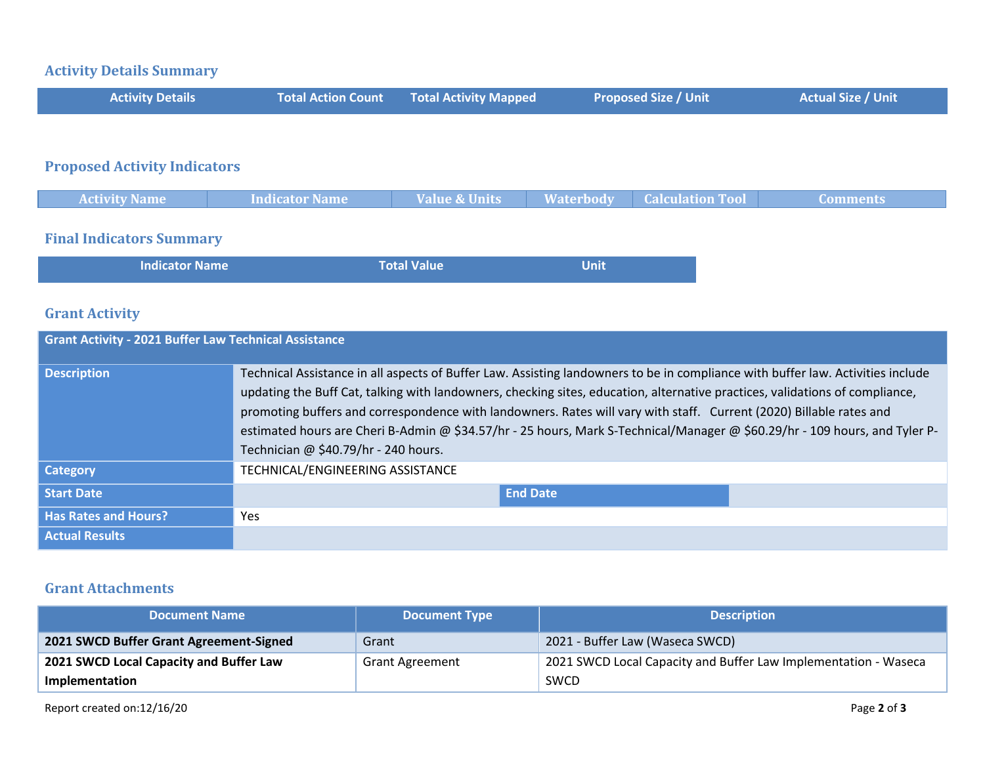## **Activity Details Summary**

| <b>Activity Details</b>             | <b>Total Action Count</b> | Total Activity Mapped | <b>Proposed Size / Unit</b> | <b>Actual Size / Unit</b> |
|-------------------------------------|---------------------------|-----------------------|-----------------------------|---------------------------|
|                                     |                           |                       |                             |                           |
| <b>Pronosed Activity Indicators</b> |                           |                       |                             |                           |

#### **Proposed Activity Indicators**

| <b>Activity Name</b> | <b>Indicator Name</b> | <b>Value &amp; Units</b> | Waterbody | <b>Calculation Tool</b> | Comments/ |
|----------------------|-----------------------|--------------------------|-----------|-------------------------|-----------|
|                      |                       |                          |           |                         |           |

## **Final Indicators Summary**

| l Indicator Name | <b>Total Value</b> | Unit |  |
|------------------|--------------------|------|--|
|                  |                    |      |  |

## **Grant Activity**

| <b>Grant Activity - 2021 Buffer Law Technical Assistance</b> |                                                                                                                                                                                                                                                                                                                                                                                                                                                                                                                                                              |  |  |  |
|--------------------------------------------------------------|--------------------------------------------------------------------------------------------------------------------------------------------------------------------------------------------------------------------------------------------------------------------------------------------------------------------------------------------------------------------------------------------------------------------------------------------------------------------------------------------------------------------------------------------------------------|--|--|--|
| <b>Description</b>                                           | Technical Assistance in all aspects of Buffer Law. Assisting landowners to be in compliance with buffer law. Activities include<br>updating the Buff Cat, talking with landowners, checking sites, education, alternative practices, validations of compliance,<br>promoting buffers and correspondence with landowners. Rates will vary with staff. Current (2020) Billable rates and<br>estimated hours are Cheri B-Admin @ \$34.57/hr - 25 hours, Mark S-Technical/Manager @ \$60.29/hr - 109 hours, and Tyler P-<br>Technician @ \$40.79/hr - 240 hours. |  |  |  |
| <b>Category</b>                                              | TECHNICAL/ENGINEERING ASSISTANCE                                                                                                                                                                                                                                                                                                                                                                                                                                                                                                                             |  |  |  |
| <b>Start Date</b>                                            | <b>End Date</b>                                                                                                                                                                                                                                                                                                                                                                                                                                                                                                                                              |  |  |  |
| <b>Has Rates and Hours?</b>                                  | Yes                                                                                                                                                                                                                                                                                                                                                                                                                                                                                                                                                          |  |  |  |
| <b>Actual Results</b>                                        |                                                                                                                                                                                                                                                                                                                                                                                                                                                                                                                                                              |  |  |  |

#### **Grant Attachments**

| <b>Document Name</b>                    | <b>Document Type</b>   | <b>Description</b>                                              |
|-----------------------------------------|------------------------|-----------------------------------------------------------------|
| 2021 SWCD Buffer Grant Agreement-Signed | Grant                  | 2021 - Buffer Law (Waseca SWCD)                                 |
| 2021 SWCD Local Capacity and Buffer Law | <b>Grant Agreement</b> | 2021 SWCD Local Capacity and Buffer Law Implementation - Waseca |
| Implementation                          |                        | SWCD                                                            |